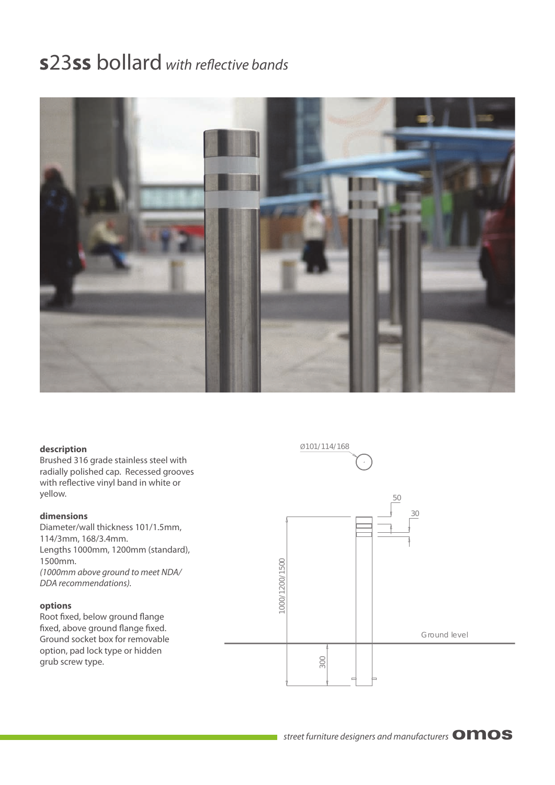## **s23ss bollard** with reflective bands



#### **description**

Brushed 316 grade stainless steel with radially polished cap. Recessed grooves with reflective vinyl band in white or yellow.

#### **dimensions**

Diameter/wall thickness 101/1.5mm, 114/3mm, 168/3.4mm. Lengths 1000mm, 1200mm (standard), 1500mm. (1000mm above ground to meet NDA/ DDA recommendations).

#### **options**

Root fixed, below ground flange fixed, above ground flange fixed. Ground socket box for removable option, pad lock type or hidden grub screw type.

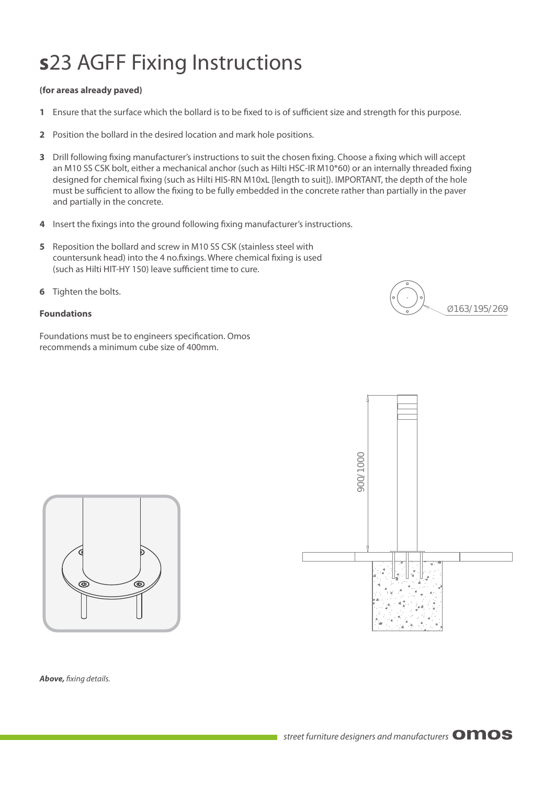# **s**23 AGFF Fixing Instructions

### **(for areas already paved)**

- **1** Ensure that the surface which the bollard is to be fixed to is of sufficient size and strength for this purpose.
- **2** Position the bollard in the desired location and mark hole positions.
- **3** Drill following fixing manufacturer's instructions to suit the chosen fixing. Choose a fixing which will accept an M10 SS CSK bolt, either a mechanical anchor (such as Hilti HSC-IR M10\*60) or an internally threaded fixing designed for chemical fixing (such as Hilti HIS-RN M10xL [length to suit]). IMPORTANT, the depth of the hole must be sufficient to allow the fixing to be fully embedded in the concrete rather than partially in the paver and partially in the concrete.
- **4** Insert the fixings into the ground following fixing manufacturer's instructions.
- **5** Reposition the bollard and screw in M10 SS CSK (stainless steel with countersunk head) into the 4 no.fixings. Where chemical fixing is used (such as Hilti HIT-HY 150) leave sufficient time to cure.
- **6** Tighten the bolts.

### **Foundations**

Foundations must be to engineers specification. Omos recommends a minimum cube size of 400mm.







**Above,** fixing details.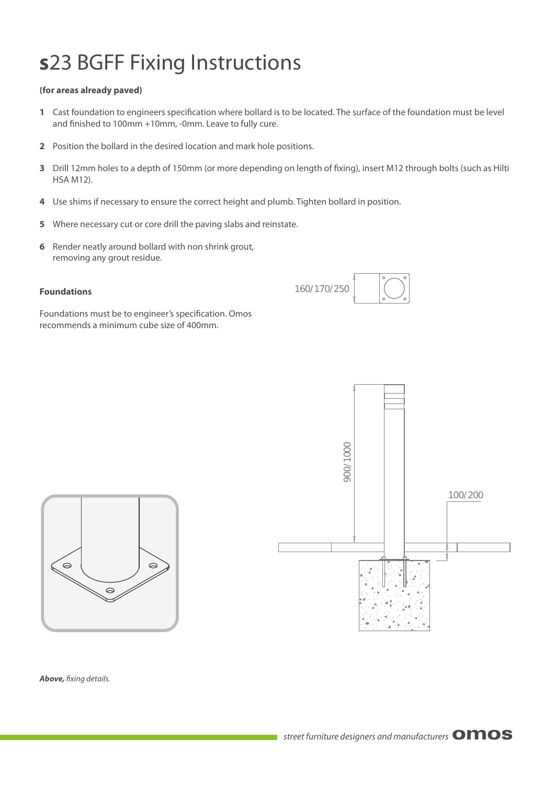# **s**23 BGFF Fixing Instructions

### **(for areas already paved)**

- 1 Cast foundation to engineers specification where bollard is to be located. The surface of the foundation must be level and finished to 100mm +10mm, -0mm. Leave to fully cure.
- **2** Position the bollard in the desired location and mark hole positions.
- **3** Drill 12mm holes to a depth of 150mm (or more depending on length of fixing), insert M12 through bolts (such as Hilti HSA M12).

160/170/250

- **4** Use shims if necessary to ensure the correct height and plumb. Tighten bollard in position.
- **5** Where necessary cut or core drill the paving slabs and reinstate.
- **6** Render neatly around bollard with non shrink grout, removing any grout residue.

### **Foundations**

Foundations must be to engineer's specification. Omos recommends a minimum cube size of 400mm.





**Above,** fixing details.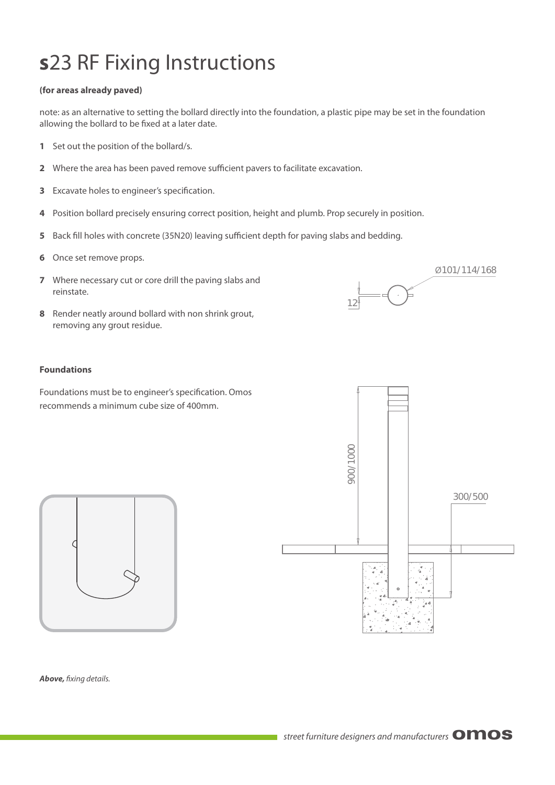## **s**23 RF Fixing Instructions

### **(for areas already paved)**

note: as an alternative to setting the bollard directly into the foundation, a plastic pipe may be set in the foundation allowing the bollard to be fixed at a later date.

- **1** Set out the position of the bollard/s.
- **2** Where the area has been paved remove sufficient pavers to facilitate excavation.
- **3** Excavate holes to engineer's specification.
- **4** Position bollard precisely ensuring correct position, height and plumb. Prop securely in position.
- 5 Back fill holes with concrete (35N20) leaving sufficient depth for paving slabs and bedding.
- **6** Once set remove props.
- **7** Where necessary cut or core drill the paving slabs and reinstate.
- **8** Render neatly around bollard with non shrink grout, removing any grout residue.

#### **Foundations**

Foundations must be to engineer's specification. Omos recommends a minimum cube size of 400mm.



 $\bar{z}$ 

12

Ø101/114/168



**Above,** fixing details.